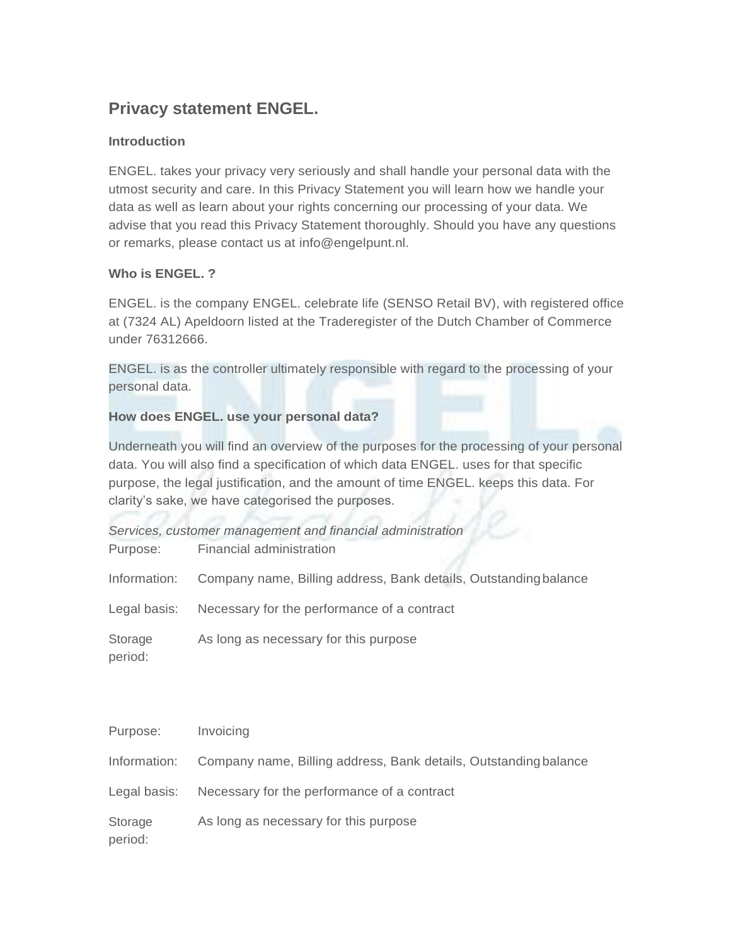# **Privacy statement ENGEL.**

## **Introduction**

ENGEL. takes your privacy very seriously and shall handle your personal data with the utmost security and care. In this Privacy Statement you will learn how we handle your data as well as learn about your rights concerning our processing of your data. We advise that you read this Privacy Statement thoroughly. Should you have any questions or remarks, please contact us at [info@engelpunt.nl.](mailto:info@engelpunt.nl)

## **Who is ENGEL. ?**

ENGEL. is the company ENGEL. celebrate life (SENSO Retail BV), with registered office at (7324 AL) Apeldoorn listed at the Traderegister of the Dutch Chamber of Commerce under 76312666.

ENGEL. is as the controller ultimately responsible with regard to the processing of your personal data.

# **How does ENGEL. use your personal data?**

Underneath you will find an overview of the purposes for the processing of your personal data. You will also find a specification of which data ENGEL. uses for that specific purpose, the legal justification, and the amount of time ENGEL. keeps this data. For clarity's sake, we have categorised the purposes.

| Services, customer management and financial administration       |  |  |
|------------------------------------------------------------------|--|--|
| Financial administration                                         |  |  |
| Company name, Billing address, Bank details, Outstanding balance |  |  |
| Necessary for the performance of a contract                      |  |  |
| As long as necessary for this purpose                            |  |  |
|                                                                  |  |  |

| Purpose:           | Invoicing                                                                     |
|--------------------|-------------------------------------------------------------------------------|
|                    | Information: Company name, Billing address, Bank details, Outstanding balance |
| Legal basis:       | Necessary for the performance of a contract                                   |
| Storage<br>period: | As long as necessary for this purpose                                         |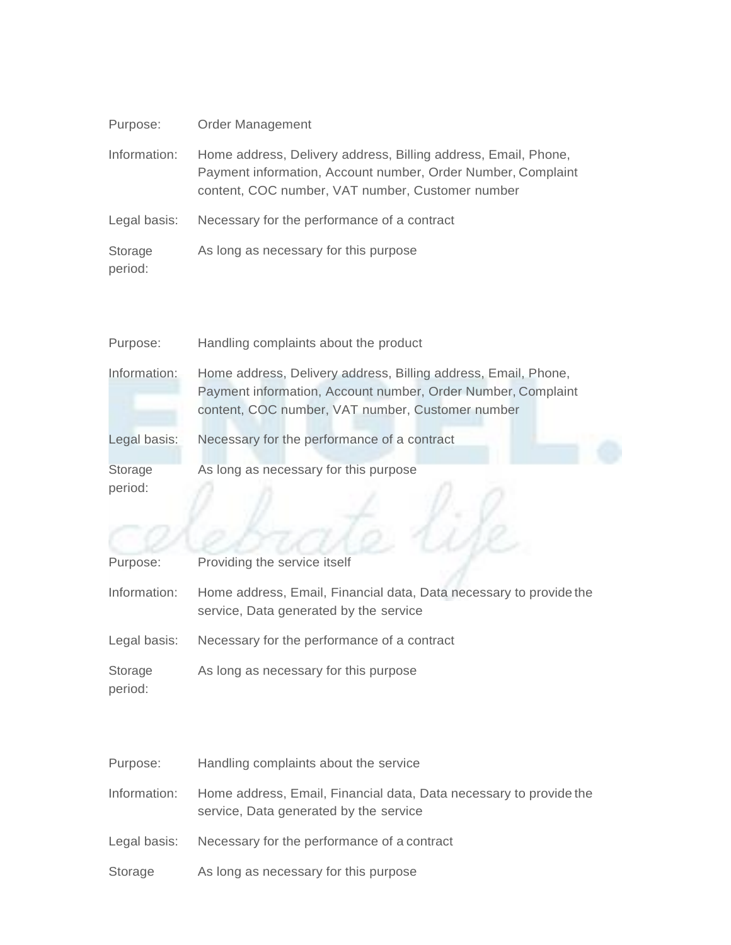| Purpose:           | <b>Order Management</b>                                                                                                                                                            |
|--------------------|------------------------------------------------------------------------------------------------------------------------------------------------------------------------------------|
| Information:       | Home address, Delivery address, Billing address, Email, Phone,<br>Payment information, Account number, Order Number, Complaint<br>content, COC number, VAT number, Customer number |
| Legal basis:       | Necessary for the performance of a contract                                                                                                                                        |
| Storage<br>period: | As long as necessary for this purpose                                                                                                                                              |

| Purpose:           | Handling complaints about the product                                                                                                                                              |
|--------------------|------------------------------------------------------------------------------------------------------------------------------------------------------------------------------------|
| Information:       | Home address, Delivery address, Billing address, Email, Phone,<br>Payment information, Account number, Order Number, Complaint<br>content, COC number, VAT number, Customer number |
| Legal basis:       | Necessary for the performance of a contract                                                                                                                                        |
| Storage<br>period: | As long as necessary for this purpose                                                                                                                                              |
|                    |                                                                                                                                                                                    |

| Purpose:           | Providing the service itself                                                                                 |
|--------------------|--------------------------------------------------------------------------------------------------------------|
| Information:       | Home address, Email, Financial data, Data necessary to provide the<br>service, Data generated by the service |
| Legal basis:       | Necessary for the performance of a contract                                                                  |
| Storage<br>period: | As long as necessary for this purpose                                                                        |

| Purpose:     | Handling complaints about the service                                                                        |
|--------------|--------------------------------------------------------------------------------------------------------------|
| Information: | Home address, Email, Financial data, Data necessary to provide the<br>service, Data generated by the service |
| Legal basis: | Necessary for the performance of a contract                                                                  |
| Storage      | As long as necessary for this purpose                                                                        |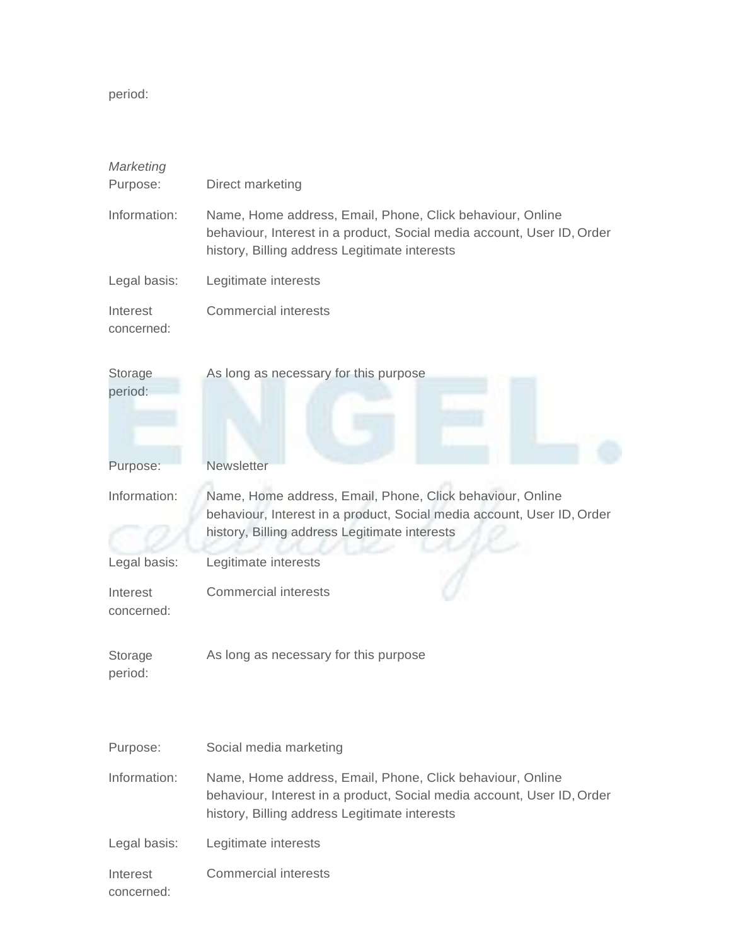period:

| Marketing<br>Purpose:  | Direct marketing                                                                                                                                                                     |
|------------------------|--------------------------------------------------------------------------------------------------------------------------------------------------------------------------------------|
| Information:           | Name, Home address, Email, Phone, Click behaviour, Online<br>behaviour, Interest in a product, Social media account, User ID, Order<br>history, Billing address Legitimate interests |
| Legal basis:           | Legitimate interests                                                                                                                                                                 |
| Interest<br>concerned: | <b>Commercial interests</b>                                                                                                                                                          |
| Storage<br>period:     | As long as necessary for this purpose                                                                                                                                                |
| Purpose:               | <b>Newsletter</b>                                                                                                                                                                    |
| Information:           | Name, Home address, Email, Phone, Click behaviour, Online<br>behaviour, Interest in a product, Social media account, User ID, Order<br>history, Billing address Legitimate interests |
| Legal basis:           | Legitimate interests                                                                                                                                                                 |
| Interest<br>concerned: | <b>Commercial interests</b>                                                                                                                                                          |
| Storage<br>period:     | As long as necessary for this purpose                                                                                                                                                |
| Purpose:               | Social media marketing                                                                                                                                                               |
| Information:           | Name, Home address, Email, Phone, Click behaviour, Online<br>behaviour, Interest in a product, Social media account, User ID, Order<br>history, Billing address Legitimate interests |
| Legal basis:           | Legitimate interests                                                                                                                                                                 |
| Interest<br>concerned: | <b>Commercial interests</b>                                                                                                                                                          |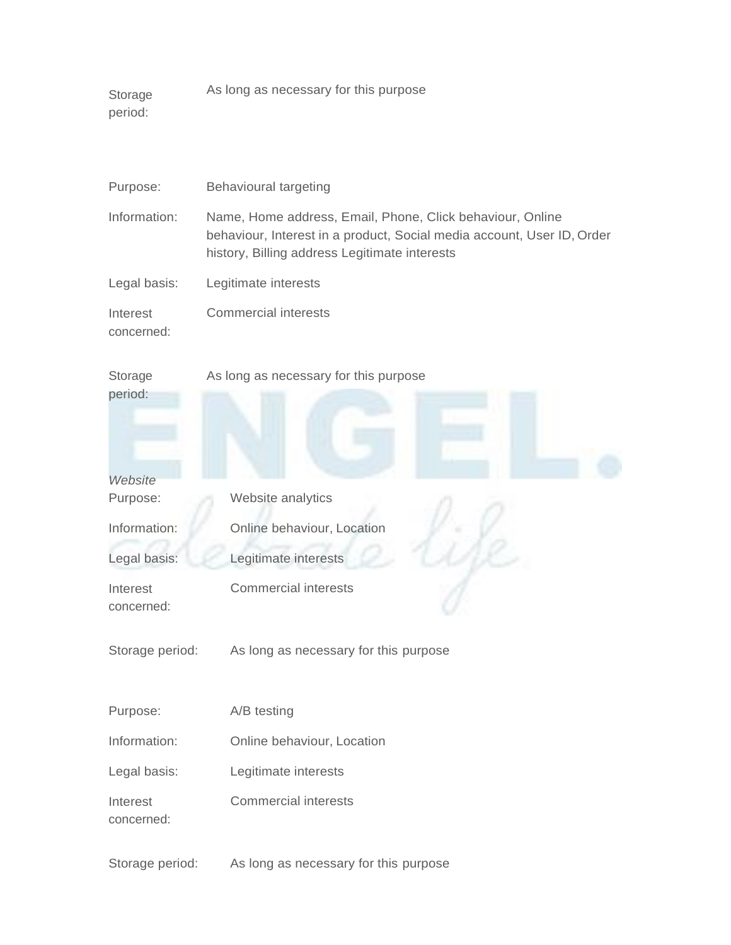Storage period: As long as necessary for this purpose

| Purpose:               | <b>Behavioural targeting</b>                                                                                                                                                         |  |
|------------------------|--------------------------------------------------------------------------------------------------------------------------------------------------------------------------------------|--|
| Information:           | Name, Home address, Email, Phone, Click behaviour, Online<br>behaviour, Interest in a product, Social media account, User ID, Order<br>history, Billing address Legitimate interests |  |
| Legal basis:           | Legitimate interests                                                                                                                                                                 |  |
| Interest<br>concerned: | <b>Commercial interests</b>                                                                                                                                                          |  |
| Storage<br>period:     | As long as necessary for this purpose                                                                                                                                                |  |
| Website                |                                                                                                                                                                                      |  |
| Purpose:               | Website analytics                                                                                                                                                                    |  |
| Information:           | Online behaviour, Location                                                                                                                                                           |  |
| Legal basis:           | Legitimate interests                                                                                                                                                                 |  |
| Interest<br>concerned: | <b>Commercial interests</b>                                                                                                                                                          |  |
| Storage period:        | As long as necessary for this purpose                                                                                                                                                |  |
| Purpose:               | A/B testing                                                                                                                                                                          |  |
| Information:           | Online behaviour, Location                                                                                                                                                           |  |
| Legal basis:           | Legitimate interests                                                                                                                                                                 |  |
| Interest<br>concerned: | <b>Commercial interests</b>                                                                                                                                                          |  |

Storage period: As long as necessary for this purpose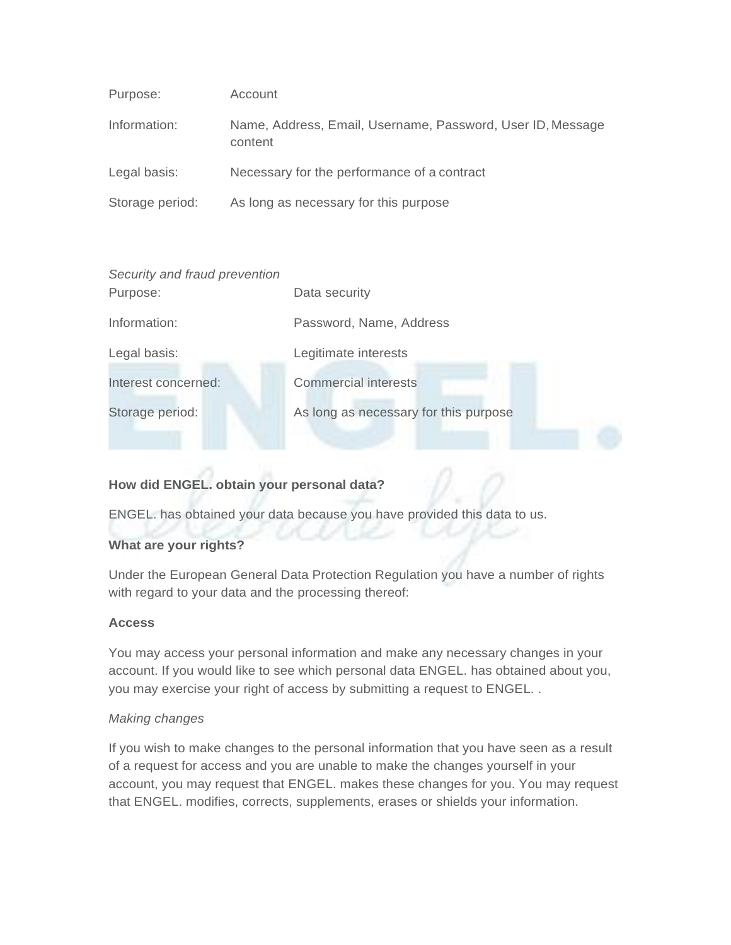| Purpose:        | Account                                                               |
|-----------------|-----------------------------------------------------------------------|
| Information:    | Name, Address, Email, Username, Password, User ID, Message<br>content |
| Legal basis:    | Necessary for the performance of a contract                           |
| Storage period: | As long as necessary for this purpose                                 |

| Security and fraud prevention |                                       |
|-------------------------------|---------------------------------------|
| Purpose:                      | Data security                         |
| Information:                  | Password, Name, Address               |
| Legal basis:                  | Legitimate interests                  |
| Interest concerned:           | <b>Commercial interests</b>           |
| Storage period:               | As long as necessary for this purpose |
|                               |                                       |

# **How did ENGEL. obtain your personal data?**

ENGEL. has obtained your data because you have provided this data to us.

## **What are your rights?**

Under the European General Data Protection Regulation you have a number of rights with regard to your data and the processing thereof:

#### **Access**

You may access your personal information and make any necessary changes in your account. If you would like to see which personal data ENGEL. has obtained about you, you may exercise your right of access by submitting a request to ENGEL. .

#### *Making changes*

If you wish to make changes to the personal information that you have seen as a result of a request for access and you are unable to make the changes yourself in your account, you may request that ENGEL. makes these changes for you. You may request that ENGEL. modifies, corrects, supplements, erases or shields your information.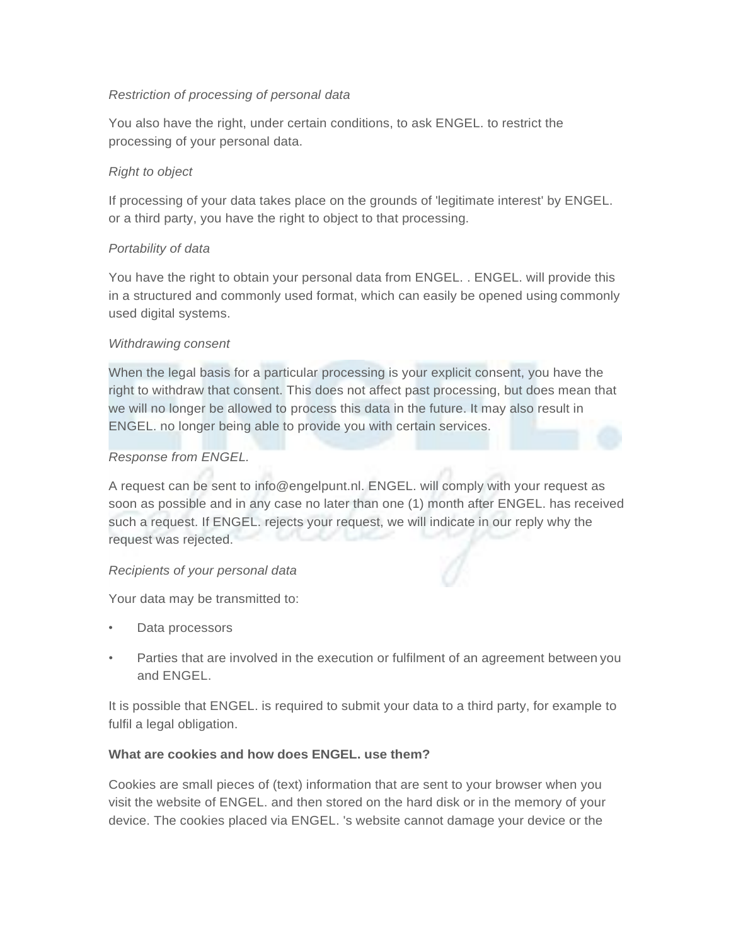## *Restriction of processing of personal data*

You also have the right, under certain conditions, to ask ENGEL. to restrict the processing of your personal data.

## *Right to object*

If processing of your data takes place on the grounds of 'legitimate interest' by ENGEL. or a third party, you have the right to object to that processing.

## *Portability of data*

You have the right to obtain your personal data from ENGEL. . ENGEL. will provide this in a structured and commonly used format, which can easily be opened using commonly used digital systems.

#### *Withdrawing consent*

When the legal basis for a particular processing is your explicit consent, you have the right to withdraw that consent. This does not affect past processing, but does mean that we will no longer be allowed to process this data in the future. It may also result in ENGEL. no longer being able to provide you with certain services.

## *Response from ENGEL.*

A request can be sent to [info@engelpunt.nl. E](mailto:info@engelpunt.nl)NGEL. will comply with your request as soon as possible and in any case no later than one (1) month after ENGEL. has received such a request. If ENGEL. rejects your request, we will indicate in our reply why the request was rejected.

## *Recipients of your personal data*

Your data may be transmitted to:

- Data processors
- Parties that are involved in the execution or fulfilment of an agreement between you and ENGEL.

It is possible that ENGEL. is required to submit your data to a third party, for example to fulfil a legal obligation.

## **What are cookies and how does ENGEL. use them?**

Cookies are small pieces of (text) information that are sent to your browser when you visit the website of ENGEL. and then stored on the hard disk or in the memory of your device. The cookies placed via ENGEL. 's website cannot damage your device or the